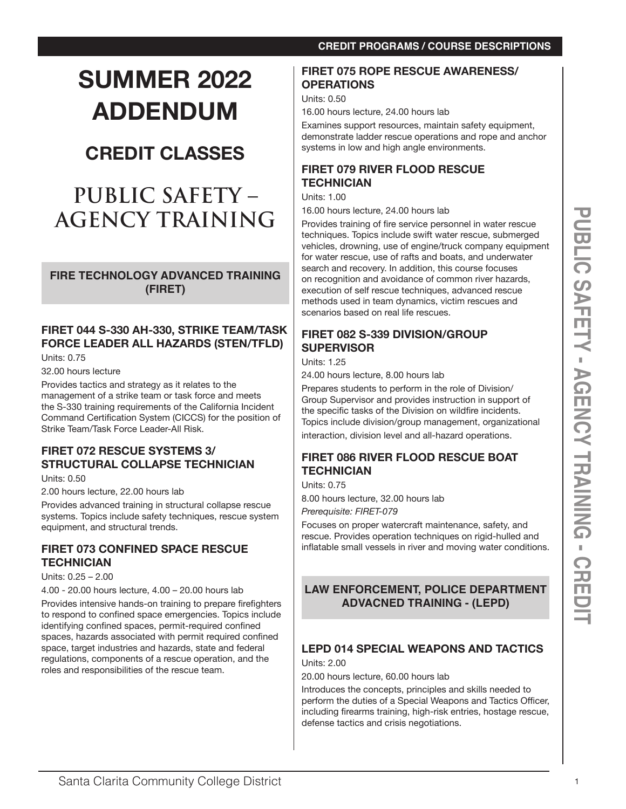#### **SUMMER 2022 FIRET 075 ROPE RESCUE AWARENESS/ OPERATIONS**

**ADDENDUM** 

16.00 hours lecture, 24.00 hours lab

Examines support resources, maintain safety equipment, demonstrate ladder rescue operations and rope and anchor systems in low and high angle environments.

# **FIRET 079 RIVER FLOOD RESCUE TECHNICIAN**

Units: 1.00

Units: 0.50

16.00 hours lecture, 24.00 hours lab

**AGENCY TRAINING INDUSTRIES AND CONTRACT COMMUNITY CONTRACT CONTRACT CONTRACT CONTRACT CONTRACT CONTRACT CONTRACT CONTRACT CONTRACT CONTRACT CONTRACT CONTRACT CONTRACT CONTRACT CONTRACT CONTRACT CONTRACT CONTRACT CONTRACT** Provides training of fire service personnel in water rescue techniques. Topics include swift water rescue, submerged vehicles, drowning, use of engine/truck company equipment for water rescue, use of rafts and boats, and underwater search and recovery. In addition, this course focuses on recognition and avoidance of common river hazards, execution of self rescue techniques, advanced rescue methods used in team dynamics, victim rescues and scenarios based on real life rescues.

# **FIRET 082 S-339 DIVISION/GROUP SUPERVISOR**

Units: 1.25

24.00 hours lecture, 8.00 hours lab

Prepares students to perform in the role of Division/ Group Supervisor and provides instruction in support of the specific tasks of the Division on wildfire incidents. Topics include division/group management, organizational interaction, division level and all-hazard operations.

# **FIRET 086 RIVER FLOOD RESCUE BOAT TECHNICIAN**

Units: 0.75

8.00 hours lecture, 32.00 hours lab

*Prerequisite: FIRET-079*

Focuses on proper watercraft maintenance, safety, and rescue. Provides operation techniques on rigid-hulled and inflatable small vessels in river and moving water conditions.

# **LAW ENFORCEMENT, POLICE DEPARTMENT ADVACNED TRAINING - (LEPD)**

# **LEPD 014 SPECIAL WEAPONS AND TACTICS**

Units: 2.00

20.00 hours lecture, 60.00 hours lab

Introduces the concepts, principles and skills needed to perform the duties of a Special Weapons and Tactics Officer, including firearms training, high-risk entries, hostage rescue, defense tactics and crisis negotiations.

# **(FIRET) FIRET 044 S-330 AH-330, STRIKE TEAM/TASK**

**CREDIT CLASSES**

**PUBLIC SAFETY –** 

**AGENCY TRAINING**

**FIRE TECHNOLOGY ADVANCED TRAINING** 

**FORCE LEADER ALL HAZARDS (STEN/TFLD)** Units: 0.75

32.00 hours lecture

Provides tactics and strategy as it relates to the management of a strike team or task force and meets the S-330 training requirements of the California Incident Command Certification System (CICCS) for the position of Strike Team/Task Force Leader-All Risk.

# **FIRET 072 RESCUE SYSTEMS 3/ STRUCTURAL COLLAPSE TECHNICIAN**

Units: 0.50

2.00 hours lecture, 22.00 hours lab

Provides advanced training in structural collapse rescue systems. Topics include safety techniques, rescue system equipment, and structural trends.

# **FIRET 073 CONFINED SPACE RESCUE TECHNICIAN**

Units: 0.25 – 2.00

4.00 - 20.00 hours lecture, 4.00 – 20.00 hours lab

Provides intensive hands-on training to prepare firefighters to respond to confined space emergencies. Topics include identifying confined spaces, permit-required confined spaces, hazards associated with permit required confined space, target industries and hazards, state and federal regulations, components of a rescue operation, and the roles and responsibilities of the rescue team.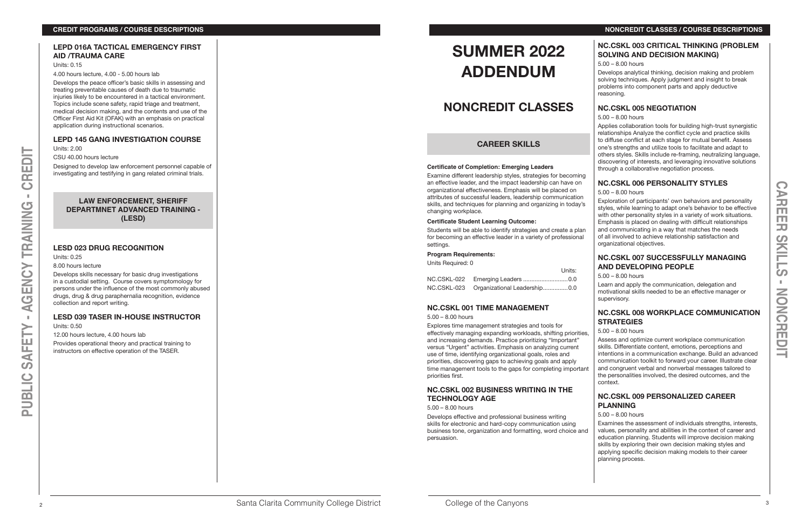#### **LEPD 016A TACTICAL EMERGENCY FIRST AID /TRAUMA CARE**

Units: 0.15

4.00 hours lecture, 4.00 - 5.00 hours lab

Develops the peace officer's basic skills in assessing and treating preventable causes of death due to traumatic injuries likely to be encountered in a tactical environment. Topics include scene safety, rapid triage and treatment, medical decision making, and the contents and use of the Officer First Aid Kit (OFAK) with an emphasis on practical application during instructional scenarios.

#### **LEPD 145 GANG INVESTIGATION COURSE**

Units: 2.00 CSU 40.00 hours lecture

Designed to develop law enforcement personnel capable of investigating and testifying in gang related criminal trials.

#### **LAW ENFORCEMENT, SHERIFF DEPARTMNET ADVANCED TRAINING - (LESD)**

#### **LESD 023 DRUG RECOGNITION**

Units: 0.25

8.00 hours lecture

Develops skills necessary for basic drug investigations in a custodial setting. Course covers symptomology for persons under the influence of the most commonly abused drugs, drug & drug paraphernalia recognition, evidence collection and report writing.

### **LESD 039 TASER IN-HOUSE INSTRUCTOR**

Units: 0.50

12.00 hours lecture, 4.00 hours lab

Provides operational theory and practical training to instructors on effective operation of the TASER.

# **SUMMER 2022 ADDENDUM**

# **NONCREDIT CLASSES**

# **CAREER SKILLS**

#### **Certificate of Completion: Emerging Leaders**

Examine different leadership styles, strategies for becoming an effective leader, and the impact leadership can have on organizational effectiveness. Emphasis will be placed on attributes of successful leaders, leadership communication skills, and techniques for planning and organizing in today's changing workplace.

#### **Certificate Student Learning Outcome:**

Students will be able to identify strategies and create a plan for becoming an effective leader in a variety of professional settings.

#### **Program Requirements:**

Units Required: 0

Units:

| <u>July</u>                              |  |
|------------------------------------------|--|
|                                          |  |
| NC.CSKL-023 Organizational Leadership0.0 |  |

#### **NC.CSKL 001 TIME MANAGEMENT**

#### 5.00 – 8.00 hours

#### **NC.CSKL 002 BUSINESS WRITING IN THE TECHNOLOGY AGE**

5.00 – 8.00 hours

Develops effective and professional business writing skills for electronic and hard-copy communication using business tone, organization and formatting, word choice and persuasion.

# **NC.CSKL 003 CRITICAL THINKING (PROBLEM SOLVING AND DECISION MAKING)**

5.00 – 8.00 hours

Develops analytical thinking, decision making and problem solving techniques. Apply judgment and insight to break problems into component parts and apply deductive reasoning.

# **NC.CSKL 005 NEGOTIATION**

5.00 – 8.00 hours

Applies collaboration tools for building high-trust synergistic relationships Analyze the conflict cycle and practice skills to diffuse conflict at each stage for mutual benefit. Assess one's strengths and utilize tools to facilitate and adapt to others styles. Skills include re-framing, neutralizing language, discovering of interests, and leveraging innovative solutions through a collaborative negotiation process.

Explores time management strategies and tools for effectively managing expanding workloads, shifting priorities, and increasing demands. Practice prioritizing "Important" versus "Urgent" activities. Emphasis on analyzing current use of time, identifying organizational goals, roles and priorities, discovering gaps to achieving goals and apply time management tools to the gaps for completing important priorities first. 5.00 – 8.00 hours Assess and optimize current workplace communication skills. Differentiate content, emotions, perceptions and intentions in a communication exchange. Build an advanced communication toolkit to forward your career. Illustrate clear and congruent verbal and nonverbal messages tailored to the personalities involved, the desired outcomes, and the context.

# **NC.CSKL 006 PERSONALITY STYLES**

5.00 – 8.00 hours

Exploration of participants' own behaviors and personality styles, while learning to adapt one's behavior to be effective with other personality styles in a variety of work situations. Emphasis is placed on dealing with difficult relationships and communicating in a way that matches the needs of all involved to achieve relationship satisfaction and organizational objectives.

# **NC.CSKL 007 SUCCESSFULLY MANAGING AND DEVELOPING PEOPLE**

5.00 – 8.00 hours

Learn and apply the communication, delegation and motivational skills needed to be an effective manager or supervisory.

# **NC.CSKL 008 WORKPLACE COMMUNICATION STRATEGIES**

# **NC.CSKL 009 PERSONALIZED CAREER PLANNING**

#### 5.00 – 8.00 hours

Examines the assessment of individuals strengths, interests, values, personality and abilities in the context of career and education planning. Students will improve decision making skills by exploring their own decision making styles and applying specific decision making models to their career planning process.